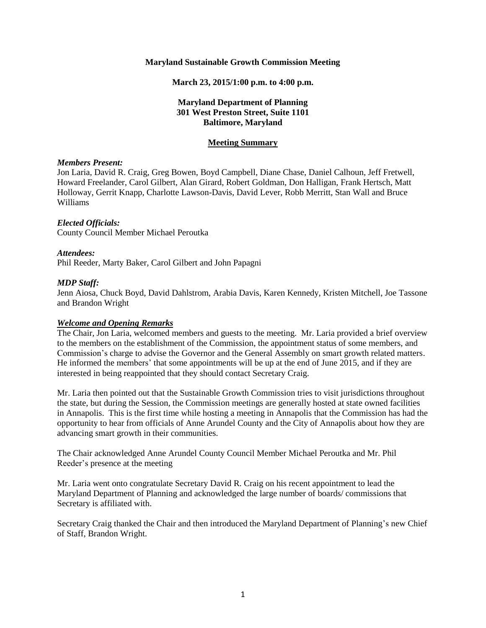#### **Maryland Sustainable Growth Commission Meeting**

#### **March 23, 2015/1:00 p.m. to 4:00 p.m.**

## **Maryland Department of Planning 301 West Preston Street, Suite 1101 Baltimore, Maryland**

#### **Meeting Summary**

#### *Members Present:*

Jon Laria, David R. Craig, Greg Bowen, Boyd Campbell, Diane Chase, Daniel Calhoun, Jeff Fretwell, Howard Freelander, Carol Gilbert, Alan Girard, Robert Goldman, Don Halligan, Frank Hertsch, Matt Holloway, Gerrit Knapp, Charlotte Lawson-Davis, David Lever, Robb Merritt, Stan Wall and Bruce Williams

#### *Elected Officials:*

County Council Member Michael Peroutka

#### *Attendees:*

Phil Reeder*,* Marty Baker, Carol Gilbert and John Papagni

#### *MDP Staff:*

Jenn Aiosa, Chuck Boyd, David Dahlstrom, Arabia Davis, Karen Kennedy, Kristen Mitchell, Joe Tassone and Brandon Wright

## *Welcome and Opening Remarks*

The Chair, Jon Laria, welcomed members and guests to the meeting. Mr. Laria provided a brief overview to the members on the establishment of the Commission, the appointment status of some members, and Commission's charge to advise the Governor and the General Assembly on smart growth related matters. He informed the members' that some appointments will be up at the end of June 2015, and if they are interested in being reappointed that they should contact Secretary Craig.

Mr. Laria then pointed out that the Sustainable Growth Commission tries to visit jurisdictions throughout the state, but during the Session, the Commission meetings are generally hosted at state owned facilities in Annapolis. This is the first time while hosting a meeting in Annapolis that the Commission has had the opportunity to hear from officials of Anne Arundel County and the City of Annapolis about how they are advancing smart growth in their communities.

The Chair acknowledged Anne Arundel County Council Member Michael Peroutka and Mr. Phil Reeder's presence at the meeting

Mr. Laria went onto congratulate Secretary David R. Craig on his recent appointment to lead the Maryland Department of Planning and acknowledged the large number of boards/ commissions that Secretary is affiliated with.

Secretary Craig thanked the Chair and then introduced the Maryland Department of Planning's new Chief of Staff, Brandon Wright.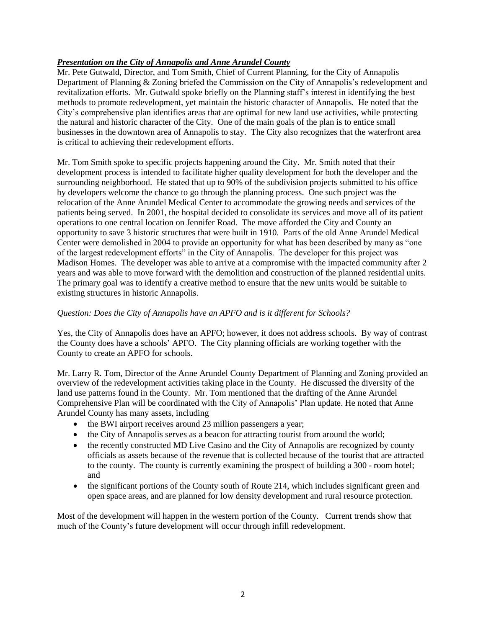# *Presentation on the City of Annapolis and Anne Arundel County*

Mr. Pete Gutwald, Director, and Tom Smith, Chief of Current Planning, for the City of Annapolis Department of Planning & Zoning briefed the Commission on the City of Annapolis's redevelopment and revitalization efforts. Mr. Gutwald spoke briefly on the Planning staff's interest in identifying the best methods to promote redevelopment, yet maintain the historic character of Annapolis. He noted that the City's comprehensive plan identifies areas that are optimal for new land use activities, while protecting the natural and historic character of the City. One of the main goals of the plan is to entice small businesses in the downtown area of Annapolis to stay. The City also recognizes that the waterfront area is critical to achieving their redevelopment efforts.

Mr. Tom Smith spoke to specific projects happening around the City. Mr. Smith noted that their development process is intended to facilitate higher quality development for both the developer and the surrounding neighborhood. He stated that up to 90% of the subdivision projects submitted to his office by developers welcome the chance to go through the planning process. One such project was the relocation of the Anne Arundel Medical Center to accommodate the growing needs and services of the patients being served. In 2001, the hospital decided to consolidate its services and move all of its patient operations to one central location on Jennifer Road. The move afforded the City and County an opportunity to save 3 historic structures that were built in 1910. Parts of the old Anne Arundel Medical Center were demolished in 2004 to provide an opportunity for what has been described by many as "one of the largest redevelopment efforts" in the City of Annapolis. The developer for this project was Madison Homes. The developer was able to arrive at a compromise with the impacted community after 2 years and was able to move forward with the demolition and construction of the planned residential units. The primary goal was to identify a creative method to ensure that the new units would be suitable to existing structures in historic Annapolis.

## *Question: Does the City of Annapolis have an APFO and is it different for Schools?*

Yes, the City of Annapolis does have an APFO; however, it does not address schools. By way of contrast the County does have a schools' APFO. The City planning officials are working together with the County to create an APFO for schools.

Mr. Larry R. Tom, Director of the Anne Arundel County Department of Planning and Zoning provided an overview of the redevelopment activities taking place in the County. He discussed the diversity of the land use patterns found in the County. Mr. Tom mentioned that the drafting of the Anne Arundel Comprehensive Plan will be coordinated with the City of Annapolis' Plan update. He noted that Anne Arundel County has many assets, including

- the BWI airport receives around 23 million passengers a year;
- the City of Annapolis serves as a beacon for attracting tourist from around the world;
- the recently constructed MD Live Casino and the City of Annapolis are recognized by county officials as assets because of the revenue that is collected because of the tourist that are attracted to the county. The county is currently examining the prospect of building a 300 - room hotel; and
- the significant portions of the County south of Route 214, which includes significant green and open space areas, and are planned for low density development and rural resource protection.

Most of the development will happen in the western portion of the County. Current trends show that much of the County's future development will occur through infill redevelopment.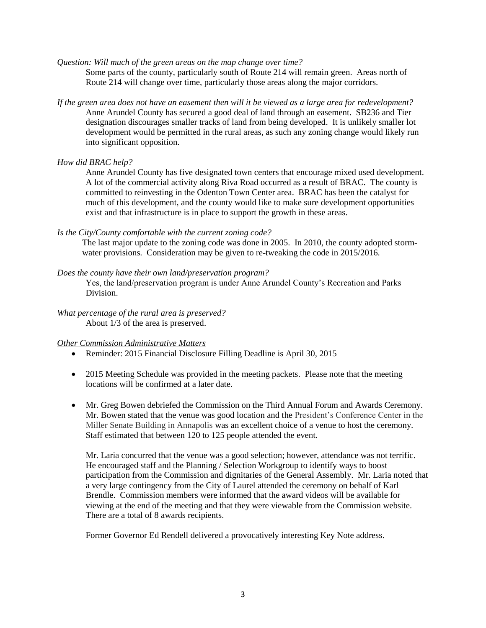*Question: Will much of the green areas on the map change over time?* 

Some parts of the county, particularly south of Route 214 will remain green. Areas north of Route 214 will change over time, particularly those areas along the major corridors.

*If the green area does not have an easement then will it be viewed as a large area for redevelopment?*  Anne Arundel County has secured a good deal of land through an easement. SB236 and Tier designation discourages smaller tracks of land from being developed. It is unlikely smaller lot development would be permitted in the rural areas, as such any zoning change would likely run into significant opposition.

#### *How did BRAC help?*

Anne Arundel County has five designated town centers that encourage mixed used development. A lot of the commercial activity along Riva Road occurred as a result of BRAC. The county is committed to reinvesting in the Odenton Town Center area. BRAC has been the catalyst for much of this development, and the county would like to make sure development opportunities exist and that infrastructure is in place to support the growth in these areas.

#### *Is the City/County comfortable with the current zoning code?*

The last major update to the zoning code was done in 2005. In 2010, the county adopted stormwater provisions. Consideration may be given to re-tweaking the code in 2015/2016.

#### *Does the county have their own land/preservation program?*

Yes, the land/preservation program is under Anne Arundel County's Recreation and Parks Division.

*What percentage of the rural area is preserved?* About 1/3 of the area is preserved.

#### *Other Commission Administrative Matters*

- Reminder: 2015 Financial Disclosure Filling Deadline is April 30, 2015
- 2015 Meeting Schedule was provided in the meeting packets. Please note that the meeting locations will be confirmed at a later date.
- Mr. Greg Bowen debriefed the Commission on the Third Annual Forum and Awards Ceremony. Mr. Bowen stated that the venue was good location and the President's Conference Center in the Miller Senate Building in Annapolis was an excellent choice of a venue to host the ceremony. Staff estimated that between 120 to 125 people attended the event.

Mr. Laria concurred that the venue was a good selection; however, attendance was not terrific. He encouraged staff and the Planning / Selection Workgroup to identify ways to boost participation from the Commission and dignitaries of the General Assembly. Mr. Laria noted that a very large contingency from the City of Laurel attended the ceremony on behalf of Karl Brendle. Commission members were informed that the award videos will be available for viewing at the end of the meeting and that they were viewable from the Commission website. There are a total of 8 awards recipients.

Former Governor Ed Rendell delivered a provocatively interesting Key Note address.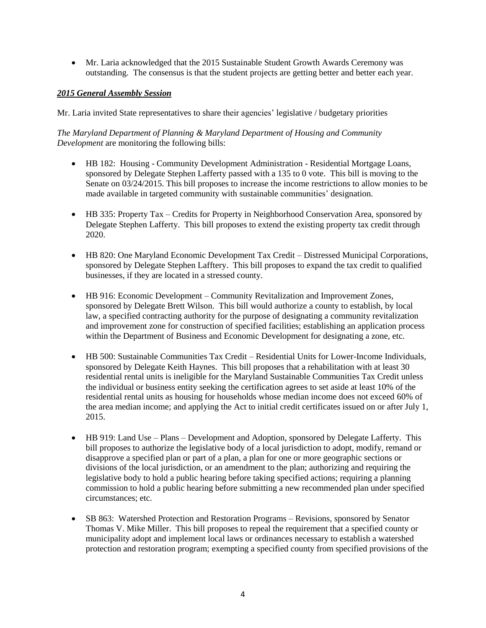Mr. Laria acknowledged that the 2015 Sustainable Student Growth Awards Ceremony was outstanding. The consensus is that the student projects are getting better and better each year.

# *2015 General Assembly Session*

Mr. Laria invited State representatives to share their agencies' legislative / budgetary priorities

*The Maryland Department of Planning & Maryland Department of Housing and Community Development* are monitoring the following bills:

- HB 182: Housing Community Development Administration Residential Mortgage Loans, sponsored by Delegate Stephen Lafferty passed with a 135 to 0 vote. This bill is moving to the Senate on 03/24/2015. This bill proposes to increase the income restrictions to allow monies to be made available in targeted community with sustainable communities' designation.
- HB 335: Property Tax Credits for Property in Neighborhood Conservation Area, sponsored by Delegate Stephen Lafferty. This bill proposes to extend the existing property tax credit through 2020.
- HB 820: One Maryland Economic Development Tax Credit Distressed Municipal Corporations, sponsored by Delegate Stephen Lafftery. This bill proposes to expand the tax credit to qualified businesses, if they are located in a stressed county.
- HB 916: Economic Development Community Revitalization and Improvement Zones, sponsored by Delegate Brett Wilson. This bill would authorize a county to establish, by local law, a specified contracting authority for the purpose of designating a community revitalization and improvement zone for construction of specified facilities; establishing an application process within the Department of Business and Economic Development for designating a zone, etc.
- HB 500: Sustainable Communities Tax Credit Residential Units for Lower-Income Individuals, sponsored by Delegate Keith Haynes. This bill proposes that a rehabilitation with at least 30 residential rental units is ineligible for the Maryland Sustainable Communities Tax Credit unless the individual or business entity seeking the certification agrees to set aside at least 10% of the residential rental units as housing for households whose median income does not exceed 60% of the area median income; and applying the Act to initial credit certificates issued on or after July 1, 2015.
- HB 919: Land Use Plans Development and Adoption, sponsored by Delegate Lafferty. This bill proposes to authorize the legislative body of a local jurisdiction to adopt, modify, remand or disapprove a specified plan or part of a plan, a plan for one or more geographic sections or divisions of the local jurisdiction, or an amendment to the plan; authorizing and requiring the legislative body to hold a public hearing before taking specified actions; requiring a planning commission to hold a public hearing before submitting a new recommended plan under specified circumstances; etc.
- SB 863: Watershed Protection and Restoration Programs Revisions, sponsored by Senator Thomas V. Mike Miller. This bill proposes to repeal the requirement that a specified county or municipality adopt and implement local laws or ordinances necessary to establish a watershed protection and restoration program; exempting a specified county from specified provisions of the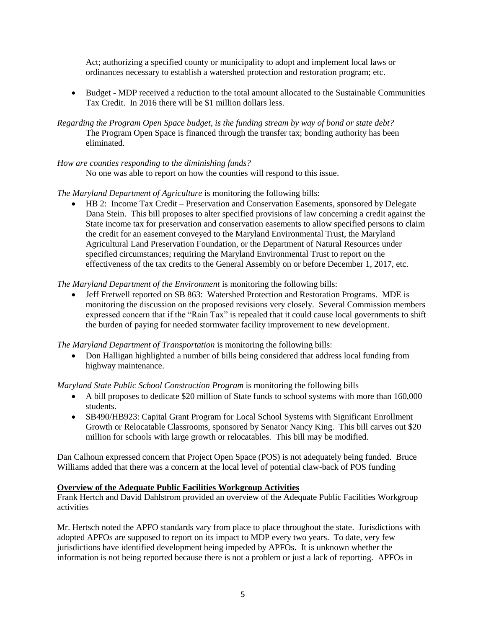Act; authorizing a specified county or municipality to adopt and implement local laws or ordinances necessary to establish a watershed protection and restoration program; etc.

- Budget MDP received a reduction to the total amount allocated to the Sustainable Communities Tax Credit. In 2016 there will be \$1 million dollars less.
- *Regarding the Program Open Space budget, is the funding stream by way of bond or state debt?* The Program Open Space is financed through the transfer tax; bonding authority has been eliminated.

## *How are counties responding to the diminishing funds?*

No one was able to report on how the counties will respond to this issue.

# *The Maryland Department of Agriculture* is monitoring the following bills:

 HB 2: Income Tax Credit – Preservation and Conservation Easements, sponsored by Delegate Dana Stein. This bill proposes to alter specified provisions of law concerning a credit against the State income tax for preservation and conservation easements to allow specified persons to claim the credit for an easement conveyed to the Maryland Environmental Trust, the Maryland Agricultural Land Preservation Foundation, or the Department of Natural Resources under specified circumstances; requiring the Maryland Environmental Trust to report on the effectiveness of the tax credits to the General Assembly on or before December 1, 2017, etc.

# *The Maryland Department of the Environment* is monitoring the following bills:

 Jeff Fretwell reported on SB 863: Watershed Protection and Restoration Programs. MDE is monitoring the discussion on the proposed revisions very closely. Several Commission members expressed concern that if the "Rain Tax" is repealed that it could cause local governments to shift the burden of paying for needed stormwater facility improvement to new development.

*The Maryland Department of Transportation* is monitoring the following bills:

• Don Halligan highlighted a number of bills being considered that address local funding from highway maintenance.

*Maryland State Public School Construction Program* is monitoring the following bills

- A bill proposes to dedicate \$20 million of State funds to school systems with more than 160,000 students.
- SB490/HB923: Capital Grant Program for Local School Systems with Significant Enrollment Growth or Relocatable Classrooms, sponsored by Senator Nancy King. This bill carves out \$20 million for schools with large growth or relocatables. This bill may be modified.

Dan Calhoun expressed concern that Project Open Space (POS) is not adequately being funded. Bruce Williams added that there was a concern at the local level of potential claw-back of POS funding

# **Overview of the Adequate Public Facilities Workgroup Activities**

Frank Hertch and David Dahlstrom provided an overview of the Adequate Public Facilities Workgroup activities

Mr. Hertsch noted the APFO standards vary from place to place throughout the state. Jurisdictions with adopted APFOs are supposed to report on its impact to MDP every two years. To date, very few jurisdictions have identified development being impeded by APFOs. It is unknown whether the information is not being reported because there is not a problem or just a lack of reporting. APFOs in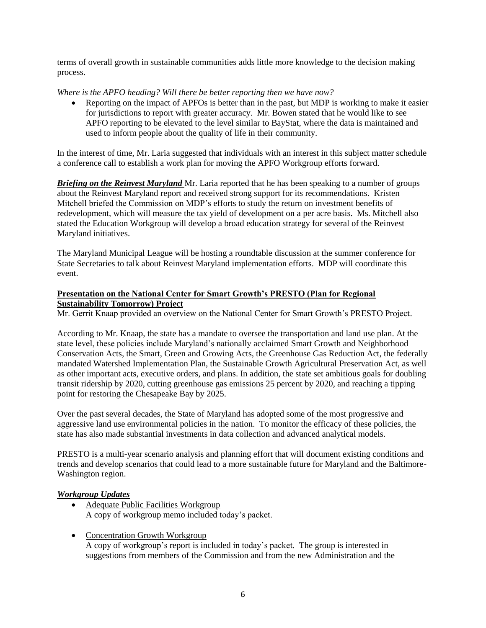terms of overall growth in sustainable communities adds little more knowledge to the decision making process.

*Where is the APFO heading? Will there be better reporting then we have now?* 

• Reporting on the impact of APFOs is better than in the past, but MDP is working to make it easier for jurisdictions to report with greater accuracy. Mr. Bowen stated that he would like to see APFO reporting to be elevated to the level similar to BayStat, where the data is maintained and used to inform people about the quality of life in their community.

In the interest of time, Mr. Laria suggested that individuals with an interest in this subject matter schedule a conference call to establish a work plan for moving the APFO Workgroup efforts forward.

*Briefing on the Reinvest Maryland* Mr. Laria reported that he has been speaking to a number of groups about the Reinvest Maryland report and received strong support for its recommendations. Kristen Mitchell briefed the Commission on MDP's efforts to study the return on investment benefits of redevelopment, which will measure the tax yield of development on a per acre basis. Ms. Mitchell also stated the Education Workgroup will develop a broad education strategy for several of the Reinvest Maryland initiatives.

The Maryland Municipal League will be hosting a roundtable discussion at the summer conference for State Secretaries to talk about Reinvest Maryland implementation efforts. MDP will coordinate this event.

# **Presentation on the National Center for Smart Growth's PRESTO (Plan for Regional Sustainability Tomorrow) Project**

Mr. Gerrit Knaap provided an overview on the National Center for Smart Growth's PRESTO Project.

According to Mr. Knaap, the state has a mandate to oversee the transportation and land use plan. At the state level, these policies include Maryland's nationally acclaimed Smart Growth and Neighborhood Conservation Acts, the Smart, Green and Growing Acts, the Greenhouse Gas Reduction Act, the federally mandated Watershed Implementation Plan, the Sustainable Growth Agricultural Preservation Act, as well as other important acts, executive orders, and plans. In addition, the state set ambitious goals for doubling transit ridership by 2020, cutting greenhouse gas emissions 25 percent by 2020, and reaching a tipping point for restoring the Chesapeake Bay by 2025.

Over the past several decades, the State of Maryland has adopted some of the most progressive and aggressive land use environmental policies in the nation. To monitor the efficacy of these policies, the state has also made substantial investments in data collection and advanced analytical models.

PRESTO is a multi-year scenario analysis and planning effort that will document existing conditions and trends and develop scenarios that could lead to a more sustainable future for Maryland and the Baltimore-Washington region.

# *Workgroup Updates*

- Adequate Public Facilities Workgroup A copy of workgroup memo included today's packet.
- Concentration Growth Workgroup A copy of workgroup's report is included in today's packet. The group is interested in suggestions from members of the Commission and from the new Administration and the